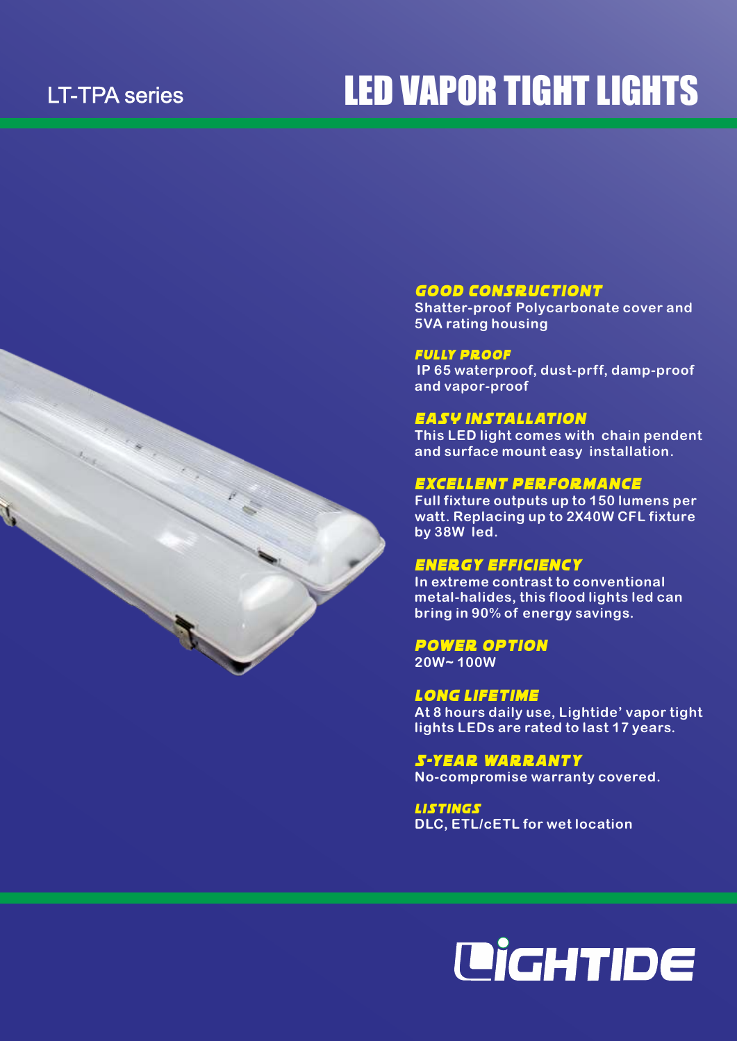## LT-TPA series **LED VAPOR TIGHT LIGHTS**

#### good CONSRUCTIONT

**Shatter-proof Polycarbonate cover and 5VA rating housing**

#### Fully proof

**IP 65 waterproof, dust-prff, damp-proof and vapor-proof**

#### EaSY INSTALLATION

**This LED light comes with chain pendent and surface mount easy installation.**

#### Excellent Performance

**Full fixture outputs up to 150 lumens per watt. Replacing up to 2X40W CFL fixture by 38W led.** 

#### Energy Efficiency

**In extreme contrast to conventional metal-halides, this flood lights led can bring in 90% of energy savings.**

**20W~ 100W** Power Option

#### Long Lifetime

**At 8 hours daily use, Lightide' vapor tight lights LEDs are rated to last 17 years.**

**No-compromise warranty covered.** 5-year Warranty

Listings **DLC, ETL/cETL for wet location**

# **CIGHTIDE**